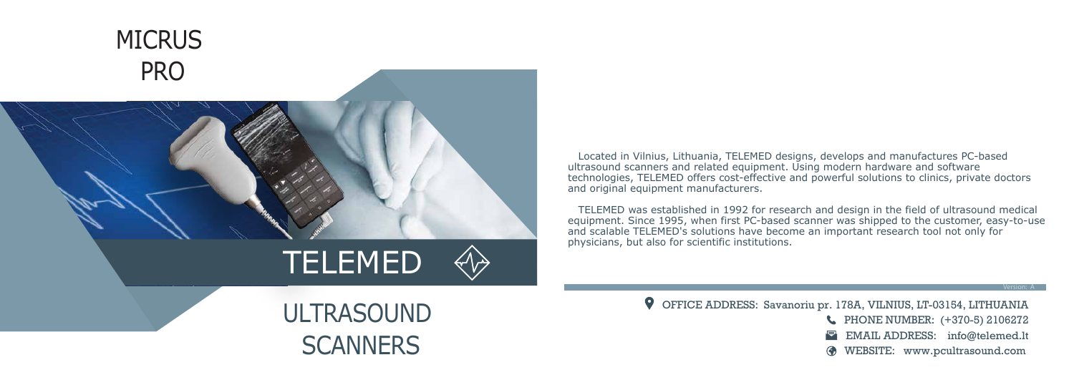Located in Vilnius, Lithuania, TELEMED designs, develops and manufactures PC-based ultrasound scanners and related equipment. Using modern hardware and software technologies, TELEMED offers cost-effective and powerful solutions to clinics, private doctors and original equipment manufacturers.

 TELEMED was established in 1992 for research and design in the field of ultrasound medical equipment. Since 1995, when first PC-based scanner was shipped to the customer, easy-to-use and scalable TELEMED's solutions have become an important research tool not only for physicians, but also for scientific institutions.